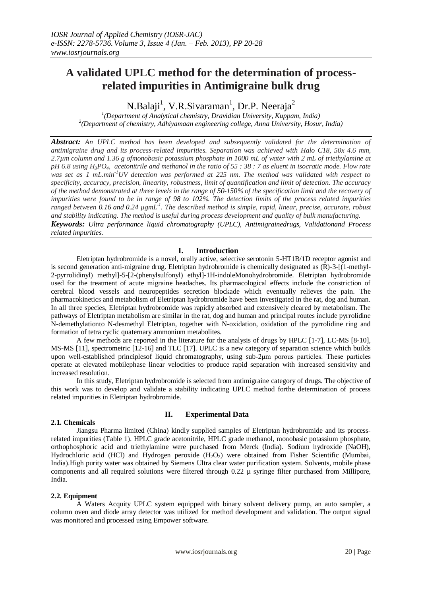# **A validated UPLC method for the determination of processrelated impurities in Antimigraine bulk drug**

N.Balaji<sup>1</sup>, V.R.Sivaraman<sup>1</sup>, Dr.P. Neeraja<sup>2</sup>

*1 (Department of Analytical chemistry, Dravidian University, Kuppam, India) 2 (Department of chemistry, Adhiyamaan engineering college, Anna University, Hosur, India)*

*Abstract: An UPLC method has been developed and subsequently validated for the determination of antimigraine drug and its process-related impurities. Separation was achieved with Halo C18, 50x 4.6 mm, 2.7µm column and 1.36 g ofmonobasic potassium phosphate in 1000 mL of water with 2 mL of triethylamine at pH 6.8 using H3PO4, acetonitrile and methanol in the ratio of 55 : 38 : 7 as eluent in isocratic mode. Flow rate was set as 1 mL.min-1UV detection was performed at 225 nm. The method was validated with respect to specificity, accuracy, precision, linearity, robustness, limit of quantification and limit of detection. The accuracy of the method demonstrated at three levels in the range of 50-150% of the specification limit and the recovery of impurities were found to be in range of 98 to 102%. The detection limits of the process related impurities ranged between 0.16 and 0.24 µgmL-1 . The described method is simple, rapid, linear, precise, accurate, robust and stability indicating. The method is useful during process development and quality of bulk manufacturing. Keywords: Ultra performance liquid chromatography (UPLC), Antimigrainedrugs, Validationand Process related impurities.*

## **I. Introduction**

Eletriptan hydrobromide is a novel, orally active, selective serotonin 5-HT1B/1D receptor agonist and is second generation anti-migraine drug. Eletriptan hydrobromide is chemically designated as (R)-3-[(1-methyl-2-pyrrolidinyl) methyl]-5-[2-(phenylsulfonyl) ethyl]-1H-indoleMonohydrobromide. Eletriptan hydrobromide used for the treatment of acute migraine headaches. Its pharmacological effects include the constriction of cerebral blood vessels and neuropeptides secretion blockade which eventually relieves the pain. The pharmacokinetics and metabolism of Eletriptan hydrobromide have been investigated in the rat, dog and human. In all three species, Eletriptan hydrobromide was rapidly absorbed and extensively cleared by metabolism. The pathways of Eletriptan metabolism are similar in the rat, dog and human and principal routes include pyrrolidine N-demethylationto N-desmethyl Eletriptan, together with N-oxidation, oxidation of the pyrrolidine ring and formation of tetra cyclic quaternary ammonium metabolites.

A few methods are reported in the literature for the analysis of drugs by HPLC [1-7], LC-MS [8-10], MS-MS [11], spectrometric [12-16] and TLC [17]. UPLC is a new category of separation science which builds upon well-established principlesof liquid chromatography, using sub-2μm porous particles. These particles operate at elevated mobilephase linear velocities to produce rapid separation with increased sensitivity and increased resolution.

In this study, Eletriptan hydrobromide is selected from antimigraine category of drugs. The objective of this work was to develop and validate a stability indicating UPLC method forthe determination of process related impurities in Eletriptan hydrobromide.

## **2.1. Chemicals**

# **II. Experimental Data**

Jiangsu Pharma limited (China) kindly supplied samples of Eletriptan hydrobromide and its processrelated impurities (Table 1). HPLC grade acetonitrile, HPLC grade methanol, monobasic potassium phosphate, orthophosphoric acid and triethylamine were purchased from Merck (India). Sodium hydroxide (NaOH), Hydrochloric acid (HCl) and Hydrogen peroxide  $(H_2O_2)$  were obtained from Fisher Scientific (Mumbai, India).High purity water was obtained by Siemens Ultra clear water purification system. Solvents, mobile phase components and all required solutions were filtered through 0.22 µ syringe filter purchased from Millipore, India.

## **2.2. Equipment**

A Waters Acquity UPLC system equipped with binary solvent delivery pump, an auto sampler, a column oven and diode array detector was utilized for method development and validation. The output signal was monitored and processed using Empower software.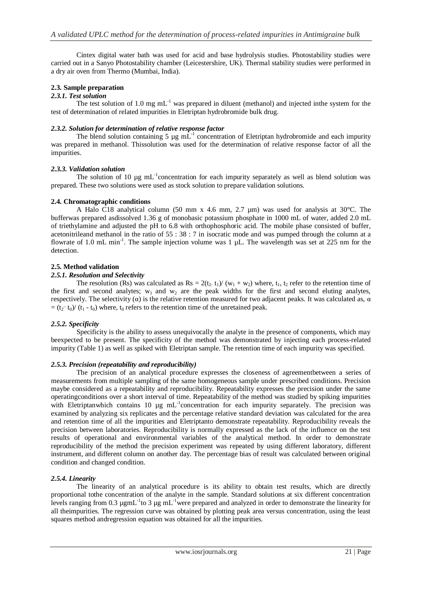Cintex digital water bath was used for acid and base hydrolysis studies. Photostability studies were carried out in a Sanyo Photostability chamber (Leicestershire, UK). Thermal stability studies were performed in a dry air oven from Thermo (Mumbai, India).

## **2.3. Sample preparation**

#### *2.3.1. Test solution*

The test solution of 1.0 mg  $mL^{-1}$  was prepared in diluent (methanol) and injected inthe system for the test of determination of related impurities in Eletriptan hydrobromide bulk drug.

#### *2.3.2. Solution for determination of relative response factor*

The blend solution containing 5  $\mu$ g mL<sup>-1</sup> concentration of Eletriptan hydrobromide and each impurity was prepared in methanol. Thissolution was used for the determination of relative response factor of all the impurities.

#### *2.3.3. Validation solution*

The solution of 10  $\mu$ g mL<sup>-1</sup>concentration for each impurity separately as well as blend solution was prepared. These two solutions were used as stock solution to prepare validation solutions.

#### **2.4. Chromatographic conditions**

A Halo C18 analytical column (50 mm x 4.6 mm, 2.7 µm) was used for analysis at 30°C. The bufferwas prepared asdissolved 1.36 g of monobasic potassium phosphate in 1000 mL of water, added 2.0 mL of triethylamine and adjusted the pH to 6.8 with orthophosphoric acid. The mobile phase consisted of buffer, acetonitrileand methanol in the ratio of 55 : 38 : 7 in isocratic mode and was pumped through the column at a flowrate of 1.0 mL min<sup>-1</sup>. The sample injection volume was 1  $\mu$ L. The wavelength was set at 225 nm for the detection.

#### **2.5. Method validation**

#### *2.5.1. Resolution and Selectivity*

The resolution (Rs) was calculated as  $Rs = 2(t_2, t_1)/(w_1 + w_2)$  where,  $t_1, t_2$  refer to the retention time of the first and second analytes;  $w_1$  and  $w_2$  are the peak widths for the first and second eluting analytes, respectively. The selectivity (α) is the relative retention measured for two adjacent peaks. It was calculated as,  $α$  $=(t_2-t_0)/(t_1-t_0)$  where,  $t_0$  refers to the retention time of the unretained peak.

## *2.5.2. Specificity*

Specificity is the ability to assess unequivocally the analyte in the presence of components, which may beexpected to be present. The specificity of the method was demonstrated by injecting each process-related impurity (Table 1) as well as spiked with Eletriptan sample. The retention time of each impurity was specified.

#### *2.5.3. Precision (repeatability and reproducibility)*

The precision of an analytical procedure expresses the closeness of agreementbetween a series of measurements from multiple sampling of the same homogeneous sample under prescribed conditions. Precision maybe considered as a repeatability and reproducibility. Repeatability expresses the precision under the same operatingconditions over a short interval of time. Repeatability of the method was studied by spiking impurities with Eletriptanwhich contains 10 µg mL<sup>-1</sup>concentration for each impurity separately. The precision was examined by analyzing six replicates and the percentage relative standard deviation was calculated for the area and retention time of all the impurities and Eletriptanto demonstrate repeatability. Reproducibility reveals the precision between laboratories. Reproducibility is normally expressed as the lack of the influence on the test results of operational and environmental variables of the analytical method. In order to demonstrate reproducibility of the method the precision experiment was repeated by using different laboratory, different instrument, and different column on another day. The percentage bias of result was calculated between original condition and changed condition.

## *2.5.4. Linearity*

The linearity of an analytical procedure is its ability to obtain test results, which are directly proportional tothe concentration of the analyte in the sample. Standard solutions at six different concentration levels ranging from 0.3  $\mu$ gmL<sup>-1</sup>to 3  $\mu$ g mL<sup>-1</sup>were prepared and analyzed in order to demonstrate the linearity for all theimpurities. The regression curve was obtained by plotting peak area versus concentration, using the least squares method andregression equation was obtained for all the impurities.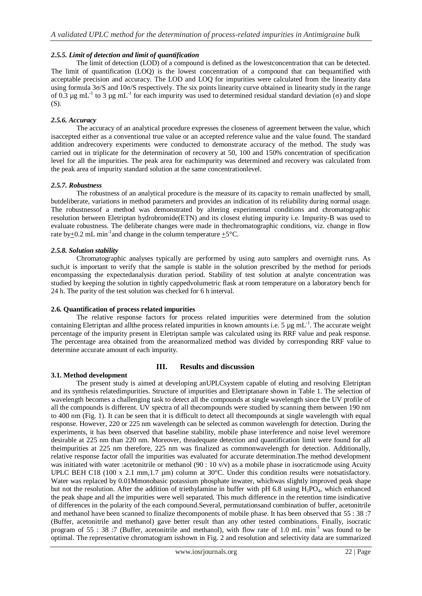## *2.5.5. Limit of detection and limit of quantification*

The limit of detection (LOD) of a compound is defined as the lowestconcentration that can be detected. The limit of quantification (LOQ) is the lowest concentration of a compound that can bequantified with acceptable precision and accuracy. The LOD and LOQ for impurities were calculated from the linearity data using formula  $3\sigma/S$  and  $10\sigma/S$  respectively. The six points linearity curve obtained in linearity study in the range of 0.3  $\mu$ g mL<sup>-1</sup> to 3  $\mu$ g mL<sup>-1</sup> for each impurity was used to determined residual standard deviation (σ) and slope (S).

## *2.5.6. Accuracy*

The accuracy of an analytical procedure expresses the closeness of agreement between the value, which isaccepted either as a conventional true value or an accepted reference value and the value found. The standard addition andrecovery experiments were conducted to demonstrate accuracy of the method. The study was carried out in triplicate for the determination of recovery at 50, 100 and 150% concentration of specification level for all the impurities. The peak area for eachimpurity was determined and recovery was calculated from the peak area of impurity standard solution at the same concentrationlevel.

#### *2.5.7. Robustness*

The robustness of an analytical procedure is the measure of its capacity to remain unaffected by small, butdeliberate, variations in method parameters and provides an indication of its reliability during normal usage. The robustnessof a method was demonstrated by altering experimental conditions and chromatographic resolution between Eletriptan hydrobromide(ETN) and its closest eluting impurity i.e. Impurity-B was used to evaluate robustness. The deliberate changes were made in thechromatographic conditions, viz. change in flow rate by + 0.2 mL min<sup>-1</sup> and change in the column temperature  $\pm$  5°C.

#### *2.5.8. Solution stability*

Chromatographic analyses typically are performed by using auto samplers and overnight runs. As such,it is important to verify that the sample is stable in the solution prescribed by the method for periods encompassing the expectedanalysis duration period. Stability of test solution at analyte concentration was studied by keeping the solution in tightly cappedvolumetric flask at room temperature on a laboratory bench for 24 h. The purity of the test solution was checked for 6 h interval.

## **2.6. Quantification of process related impurities**

The relative response factors for process related impurities were determined from the solution containing Eletriptan and all the process related impurities in known amounts i.e. 5  $\mu$ g mL<sup>-1</sup>. The accurate weight percentage of the impurity present in Eletriptan sample was calculated using its RRF value and peak response. The percentage area obtained from the areanormalized method was divided by corresponding RRF value to determine accurate amount of each impurity.

## **3.1. Method development**

## **III. Results and discussion**

The present study is aimed at developing anUPLCsystem capable of eluting and resolving Eletriptan and its synthesis relatedimpurities. Structure of impurities and Eletriptanare shown in Table 1. The selection of wavelength becomes a challenging task to detect all the compounds at single wavelength since the UV profile of all the compounds is different. UV spectra of all thecompounds were studied by scanning them between 190 nm to 400 nm (Fig. 1). It can be seen that it is difficult to detect all thecompounds at single wavelength with equal response. However, 220 or 225 nm wavelength can be selected as common wavelength for detection. During the experiments, it has been observed that baseline stability, mobile phase interference and noise level weremore desirable at 225 nm than 220 nm. Moreover, theadequate detection and quantification limit were found for all theimpurities at 225 nm therefore, 225 nm was finalized as commonwavelength for detection. Additionally, relative response factor ofall the impurities was evaluated for accurate determination.The method development was initiated with water :acetonitrile or methanol (90 : 10  $v/v$ ) as a mobile phase in isocraticmode using Acuity UPLC BEH C18 (100 x 2.1 mm, 1.7 µm) column at 30°C. Under this condition results were notsatisfactory. Water was replaced by 0.01Mmonobasic potassium phosphate inwater, whichwas slightly improved peak shape but not the resolution. After the addition of triethylamine in buffer with pH 6.8 using  $H_3PO_4$ , which enhanced the peak shape and all the impurities were well separated. This much difference in the retention time isindicative of differences in the polarity of the each compound.Several, permutationsand combination of buffer, acetonitrile and methanol have been scanned to finalize thecomponents of mobile phase. It has been observed that 55 : 38 :7 (Buffer, acetonitrile and methanol) gave better result than any other tested combinations. Finally, isocratic program of 55 : 38 :7 (Buffer, acetonitrile and methanol), with flow rate of 1.0 mL min-1 was found to be optimal. The representative chromatogram isshown in Fig. 2 and resolution and selectivity data are summarized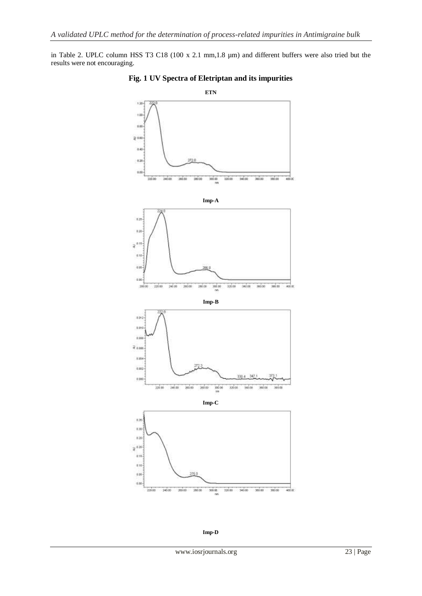in Table 2. UPLC column HSS T3 C18 (100 x 2.1 mm,1.8 µm) and different buffers were also tried but the results were not encouraging.



## **Fig. 1 UV Spectra of Eletriptan and its impurities**

**Imp-D**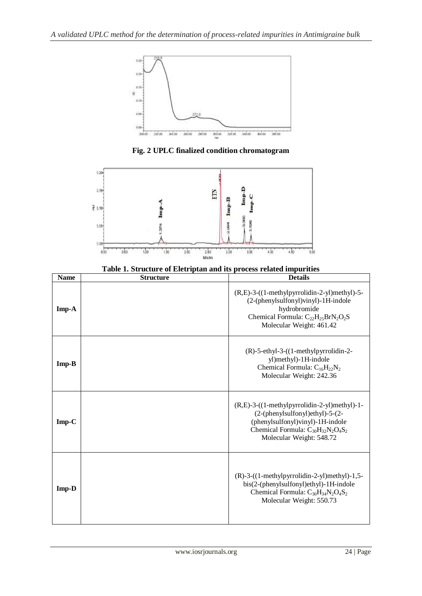

**Fig. 2 UPLC finalized condition chromatogram**



**Table 1. Structure of Eletriptan and its process related impurities**

| <b>Name</b> | <b>Structure</b> | <b>Details</b>                                                                                                                                                                               |
|-------------|------------------|----------------------------------------------------------------------------------------------------------------------------------------------------------------------------------------------|
| $Imp-A$     |                  | $(R,E)-3-((1-methylpyrrolidin-2-yl)methyl)-5-$<br>(2-(phenylsulfonyl)vinyl)-1H-indole<br>hydrobromide<br>Chemical Formula: $C_{22}H_{25}BrN_2O_2S$<br>Molecular Weight: 461.42               |
| $Imp-B$     |                  | $(R)$ -5-ethyl-3- $((1-methylpyrrolidin-2-$<br>yl)methyl)-1H-indole<br>Chemical Formula: $C_{16}H_{22}N_2$<br>Molecular Weight: 242.36                                                       |
| $Imp-C$     |                  | (R,E)-3-((1-methylpyrrolidin-2-yl)methyl)-1-<br>(2-(phenylsulfonyl)ethyl)-5-(2-<br>(phenylsulfonyl)vinyl)-1H-indole<br>Chemical Formula: $C_{30}H_{32}N_2O_4S_2$<br>Molecular Weight: 548.72 |
| Imp-D       |                  | $(R)-3-((1-methylpyrrolidin-2-yl)methyl)-1,5-$<br>bis(2-(phenylsulfonyl)ethyl)-1H-indole<br>Chemical Formula: $C_{30}H_{34}N_2O_4S_2$<br>Molecular Weight: 550.73                            |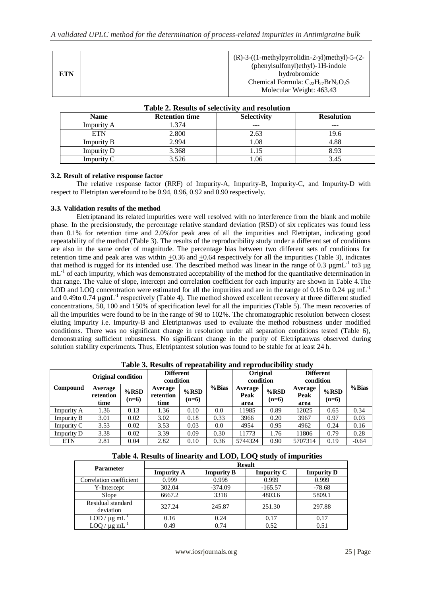|     | $(R)-3-((1-methylpyrrolidin-2-yl)methyl)-5-(2-$<br>(phenylsulfonyl) ethyl) - 1H-indole |
|-----|----------------------------------------------------------------------------------------|
| ETN | hydrobromide                                                                           |
|     | Chemical Formula: $C_{22}H_{27}BrN_2O_2S$                                              |
|     | Molecular Weight: 463.43                                                               |

| Table 2. Results of selectivity and resolution |                       |                    |                   |  |  |  |  |
|------------------------------------------------|-----------------------|--------------------|-------------------|--|--|--|--|
| <b>Name</b>                                    | <b>Retention time</b> | <b>Selectivity</b> | <b>Resolution</b> |  |  |  |  |
| Impurity A                                     | .374                  |                    | ---               |  |  |  |  |
| <b>ETN</b>                                     | 2.800                 | 2.63               | 19.6              |  |  |  |  |
| <b>Impurity B</b>                              | 2.994                 | 1.08               | 4.88              |  |  |  |  |
| Impurity D                                     | 3.368                 | 1.15               | 8.93              |  |  |  |  |
| Impurity C                                     | 3.526                 | .06                | 3.45              |  |  |  |  |

## **Table 2. Results of selectivity and resolution**

## **3.2. Result of relative response factor**

The relative response factor (RRF) of Impurity-A, Impurity-B, Impurity-C, and Impurity-D with respect to Eletriptan werefound to be 0.94, 0.96, 0.92 and 0.90 respectively.

#### **3.3. Validation results of the method**

Eletriptanand its related impurities were well resolved with no interference from the blank and mobile phase. In the precisionstudy, the percentage relative standard deviation (RSD) of six replicates was found less than 0.1% for retention time and 2.0%for peak area of all the impurities and Eletriptan, indicating good repeatability of the method (Table 3). The results of the reproducibility study under a different set of conditions are also in the same order of magnitude. The percentage bias between two different sets of conditions for retention time and peak area was within  $+0.36$  and  $+0.64$  respectively for all the impurities (Table 3), indicates that method is rugged for its intended use. The described method was linear in the range of 0.3  $\mu$ gmL<sup>-1</sup> to3  $\mu$ g mL<sup>-1</sup> of each impurity, which was demonstrated acceptability of the method for the quantitative determination in that range. The value of slope, intercept and correlation coefficient for each impurity are shown in Table 4.The LOD and LOQ concentration were estimated for all the impurities and are in the range of 0.16 to 0.24  $\mu$ g mL<sup>-1</sup> and 0.49to 0.74  $\mu$ gmL<sup>-1</sup> respectively (Table 4). The method showed excellent recovery at three different studied concentrations, 50, 100 and 150% of specification level for all the impurities (Table 5). The mean recoveries of all the impurities were found to be in the range of 98 to 102%. The chromatographic resolution between closest eluting impurity i.e. Impurity-B and Eletriptanwas used to evaluate the method robustness under modified conditions. There was no significant change in resolution under all separation conditions tested (Table 6), demonstrating sufficient robustness. No significant change in the purity of Eletriptanwas observed during solution stability experiments. Thus, Eletriptantest solution was found to be stable for at least 24 h.

|              |                              |                    | <b>Table 5. Results of repeatablity and reproducibility study</b> |                    |        |                              |                    |                               |                               |         |
|--------------|------------------------------|--------------------|-------------------------------------------------------------------|--------------------|--------|------------------------------|--------------------|-------------------------------|-------------------------------|---------|
|              | <b>Original condition</b>    |                    | <b>Different</b><br>condition                                     |                    |        | <b>Original</b><br>condition |                    | <b>Different</b><br>condition |                               |         |
| Compound     | Average<br>retention<br>time | $%$ RSD<br>$(n=6)$ | Average<br>retention<br>time                                      | $%$ RSD<br>$(n=6)$ | % Bias | Average<br>Peak<br>area      | $%$ RSD<br>$(n=6)$ | Average<br>Peak<br>area       | $%$ <sub>RSD</sub><br>$(n=6)$ | % Bias  |
| Impurity A   | 1.36                         | 0.13               | 1.36                                                              | 0.10               | 0.0    | 11985                        | 0.89               | 12025                         | 0.65                          | 0.34    |
| Impurity B   | 3.01                         | 0.02               | 3.02                                                              | 0.18               | 0.33   | 3966                         | 0.20               | 3967                          | 0.97                          | 0.03    |
| Impurity $C$ | 3.53                         | 0.02               | 3.53                                                              | 0.03               | 0.0    | 4954                         | 0.95               | 4962                          | 0.24                          | 0.16    |
| Impurity D   | 3.38                         | 0.02               | 3.39                                                              | 0.09               | 0.30   | 11773                        | 1.76               | 11806                         | 0.79                          | 0.28    |
| <b>ETN</b>   | 2.81                         | 0.04               | 2.82                                                              | 0.10               | 0.36   | 5744324                      | 0.90               | 5707314                       | 0.19                          | $-0.64$ |

**Table 3. Results of repeatability and reproducibility study**

| Table 4. Results of linearity and LOD, LOQ study of impurities |  |  |
|----------------------------------------------------------------|--|--|
|----------------------------------------------------------------|--|--|

| <b>Parameter</b>               | <b>Result</b>     |                   |                   |                   |  |  |  |
|--------------------------------|-------------------|-------------------|-------------------|-------------------|--|--|--|
|                                | <b>Impurity A</b> | <b>Impurity B</b> | <b>Impurity C</b> | <b>Impurity D</b> |  |  |  |
| Correlation coefficient        | 0.999             | 0.998             | 0.999             | 0.999             |  |  |  |
| Y-Intercept                    | 302.04            | $-374.09$         | $-165.57$         | $-78.68$          |  |  |  |
| Slope                          | 6667.2            | 3318              | 4803.6            | 5809.1            |  |  |  |
| Residual standard<br>deviation | 327.24            | 245.87            | 251.30            | 297.88            |  |  |  |
| LOD / $\mu$ g mL <sup>-1</sup> | 0.16              | 0.24              | 0.17              | 0.17              |  |  |  |
| LOQ / $\mu$ g mL <sup>-1</sup> | 0.49              | 0.74              | 0.52              | 0.51              |  |  |  |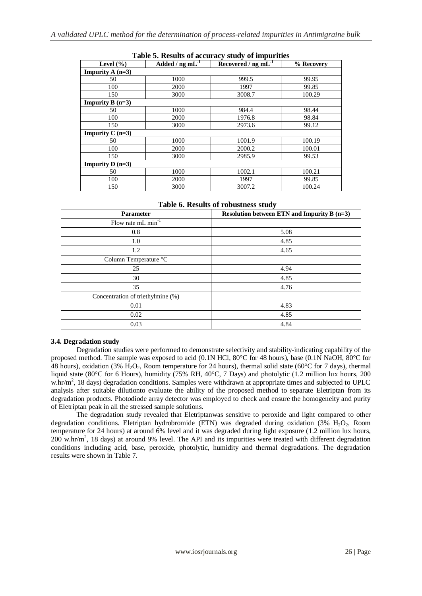| Level $(\% )$             | Added / $ng \, mL^{-1}$ | Recovered / $ng \overline{mL^{-1}}$ | % Recovery |
|---------------------------|-------------------------|-------------------------------------|------------|
| <b>Impurity A</b> $(n=3)$ |                         |                                     |            |
| 50                        | 1000                    | 999.5                               | 99.95      |
| 100                       | 2000                    | 1997                                | 99.85      |
| 150                       | 3000                    | 3008.7                              | 100.29     |
| Impurity $B(n=3)$         |                         |                                     |            |
| 50                        | 1000                    | 984.4                               | 98.44      |
| 100                       | 2000                    | 1976.8                              | 98.84      |
| 150                       | 3000                    | 2973.6                              | 99.12      |
| Impurity $C(n=3)$         |                         |                                     |            |
| 50                        | 1000                    | 1001.9                              | 100.19     |
| 100                       | 2000                    | 2000.2                              | 100.01     |
| 150                       | 3000                    | 2985.9                              | 99.53      |
| <b>Impurity D</b> $(n=3)$ |                         |                                     |            |
| 50                        | 1000                    | 1002.1                              | 100.21     |
| 100                       | 2000                    | 1997                                | 99.85      |
| 150                       | 3000                    | 3007.2                              | 100.24     |

#### **Table 5. Results of accuracy study of impurities**

**Table 6. Results of robustness study**

| Parameter                         | Resolution between ETN and Impurity B $(n=3)$ |
|-----------------------------------|-----------------------------------------------|
| Flow rate $mL \min$ <sup>1</sup>  |                                               |
| 0.8                               | 5.08                                          |
| 1.0                               | 4.85                                          |
| 1.2                               | 4.65                                          |
| Column Temperature °C             |                                               |
| 25                                | 4.94                                          |
| 30                                | 4.85                                          |
| 35                                | 4.76                                          |
| Concentration of triethylmine (%) |                                               |
| 0.01                              | 4.83                                          |
| 0.02                              | 4.85                                          |
| 0.03                              | 4.84                                          |

## **3.4. Degradation study**

Degradation studies were performed to demonstrate selectivity and stability-indicating capability of the proposed method. The sample was exposed to acid (0.1N HCl, 80°C for 48 hours), base (0.1N NaOH, 80°C for 48 hours), oxidation (3% H<sub>2</sub>O<sub>2</sub>, Room temperature for 24 hours), thermal solid state (60 $^{\circ}$ C for 7 days), thermal liquid state (80°C for 6 Hours), humidity (75% RH, 40°C, 7 Days) and photolytic (1.2 million lux hours, 200 w.hr/m<sup>2</sup>, 18 days) degradation conditions. Samples were withdrawn at appropriate times and subjected to UPLC analysis after suitable dilutionto evaluate the ability of the proposed method to separate Eletriptan from its degradation products. Photodiode array detector was employed to check and ensure the homogeneity and purity of Eletriptan peak in all the stressed sample solutions.

The degradation study revealed that Eletriptanwas sensitive to peroxide and light compared to other degradation conditions. Eletriptan hydrobromide (ETN) was degraded during oxidation (3% H<sub>2</sub>O<sub>2</sub>, Room temperature for 24 hours) at around 6% level and it was degraded during light exposure (1.2 million lux hours,  $200$  w.hr/m<sup>2</sup>, 18 days) at around 9% level. The API and its impurities were treated with different degradation conditions including acid, base, peroxide, photolytic, humidity and thermal degradations. The degradation results were shown in Table 7.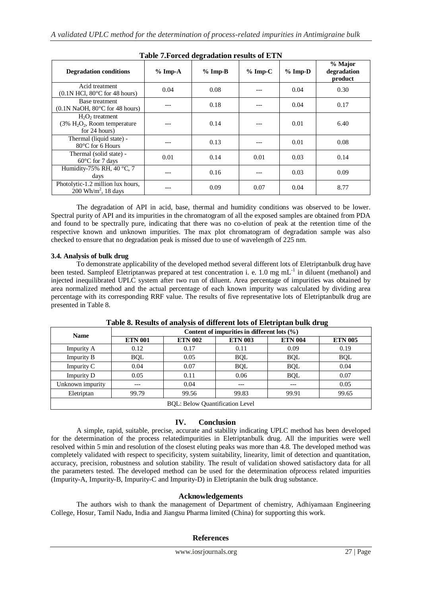| <b>Table 7. Forced degradation results of ETN</b>                      |           |           |           |           |                                   |  |  |
|------------------------------------------------------------------------|-----------|-----------|-----------|-----------|-----------------------------------|--|--|
| <b>Degradation conditions</b>                                          | $%$ Imp-A | $%$ Imp-B | $%$ Imp-C | $%$ Imp-D | % Major<br>degradation<br>product |  |  |
| Acid treatment<br>$(0.1N$ HCl, $80^{\circ}$ C for 48 hours)            | 0.04      | 0.08      |           | 0.04      | 0.30                              |  |  |
| Base treatment<br>$(0.1N$ NaOH, $80^{\circ}$ C for 48 hours)           |           | 0.18      |           | 0.04      | 0.17                              |  |  |
| $H_2O_2$ treatment<br>$(3\% H_2O_2,$ Room temperature<br>for 24 hours) |           | 0.14      |           | 0.01      | 6.40                              |  |  |
| Thermal (liquid state) -<br>$80^{\circ}$ C for 6 Hours                 |           | 0.13      |           | 0.01      | 0.08                              |  |  |
| Thermal (solid state) -<br>$60^{\circ}$ C for 7 days                   | 0.01      | 0.14      | 0.01      | 0.03      | 0.14                              |  |  |
| Humidity-75% RH, 40 $\degree$ C, 7<br>days                             |           | 0.16      |           | 0.03      | 0.09                              |  |  |
| Photolytic-1.2 million lux hours,<br>$200 \text{ Wh/m}^2$ , 18 days    |           | 0.09      | 0.07      | 0.04      | 8.77                              |  |  |

The degradation of API in acid, base, thermal and humidity conditions was observed to be lower. Spectral purity of API and its impurities in the chromatogram of all the exposed samples are obtained from PDA and found to be spectrally pure, indicating that there was no co-elution of peak at the retention time of the respective known and unknown impurities. The max plot chromatogram of degradation sample was also checked to ensure that no degradation peak is missed due to use of wavelength of 225 nm.

#### **3.4. Analysis of bulk drug**

To demonstrate applicability of the developed method several different lots of Eletriptanbulk drug have been tested. Sampleof Eletriptanwas prepared at test concentration i. e. 1.0 mg mL<sup>-1</sup> in diluent (methanol) and injected inequilibrated UPLC system after two run of diluent. Area percentage of impurities was obtained by area normalized method and the actual percentage of each known impurity was calculated by dividing area percentage with its corresponding RRF value. The results of five representative lots of Eletriptanbulk drug are presented in Table 8.

|                                        |                                                 |                |                |                | $\epsilon$     |  |  |  |
|----------------------------------------|-------------------------------------------------|----------------|----------------|----------------|----------------|--|--|--|
| <b>Name</b>                            | Content of impurities in different lots $(\% )$ |                |                |                |                |  |  |  |
|                                        | <b>ETN 001</b>                                  | <b>ETN 002</b> | <b>ETN 003</b> | <b>ETN 004</b> | <b>ETN 005</b> |  |  |  |
| Impurity A                             | 0.12                                            | 0.17           | 0.11           | 0.09           | 0.19           |  |  |  |
| <b>Impurity B</b>                      | <b>BQL</b>                                      | 0.05           | <b>BQL</b>     | <b>BQL</b>     | <b>BQL</b>     |  |  |  |
| Impurity C                             | 0.04                                            | 0.07           | <b>BQL</b>     | <b>BQL</b>     | 0.04           |  |  |  |
| <b>Impurity D</b>                      | 0.05                                            | 0.11           | 0.06           | <b>BQL</b>     | 0.07           |  |  |  |
| Unknown impurity                       | ---                                             | 0.04           | ---            | ---            | 0.05           |  |  |  |
| Eletriptan                             | 99.79                                           | 99.56          | 99.83          | 99.91          | 99.65          |  |  |  |
| <b>BQL: Below Quantification Level</b> |                                                 |                |                |                |                |  |  |  |

**Table 8. Results of analysis of different lots of Eletriptan bulk drug**

# **IV. Conclusion**

A simple, rapid, suitable, precise, accurate and stability indicating UPLC method has been developed for the determination of the process relatedimpurities in Eletriptanbulk drug. All the impurities were well resolved within 5 min and resolution of the closest eluting peaks was more than 4.8. The developed method was completely validated with respect to specificity, system suitability, linearity, limit of detection and quantitation, accuracy, precision, robustness and solution stability. The result of validation showed satisfactory data for all the parameters tested. The developed method can be used for the determination ofprocess related impurities (Impurity-A, Impurity-B, Impurity-C and Impurity-D) in Eletriptanin the bulk drug substance.

## **Acknowledgements**

The authors wish to thank the management of Department of chemistry, Adhiyamaan Engineering College, Hosur, Tamil Nadu, India and Jiangsu Pharma limited (China) for supporting this work.

## **References**